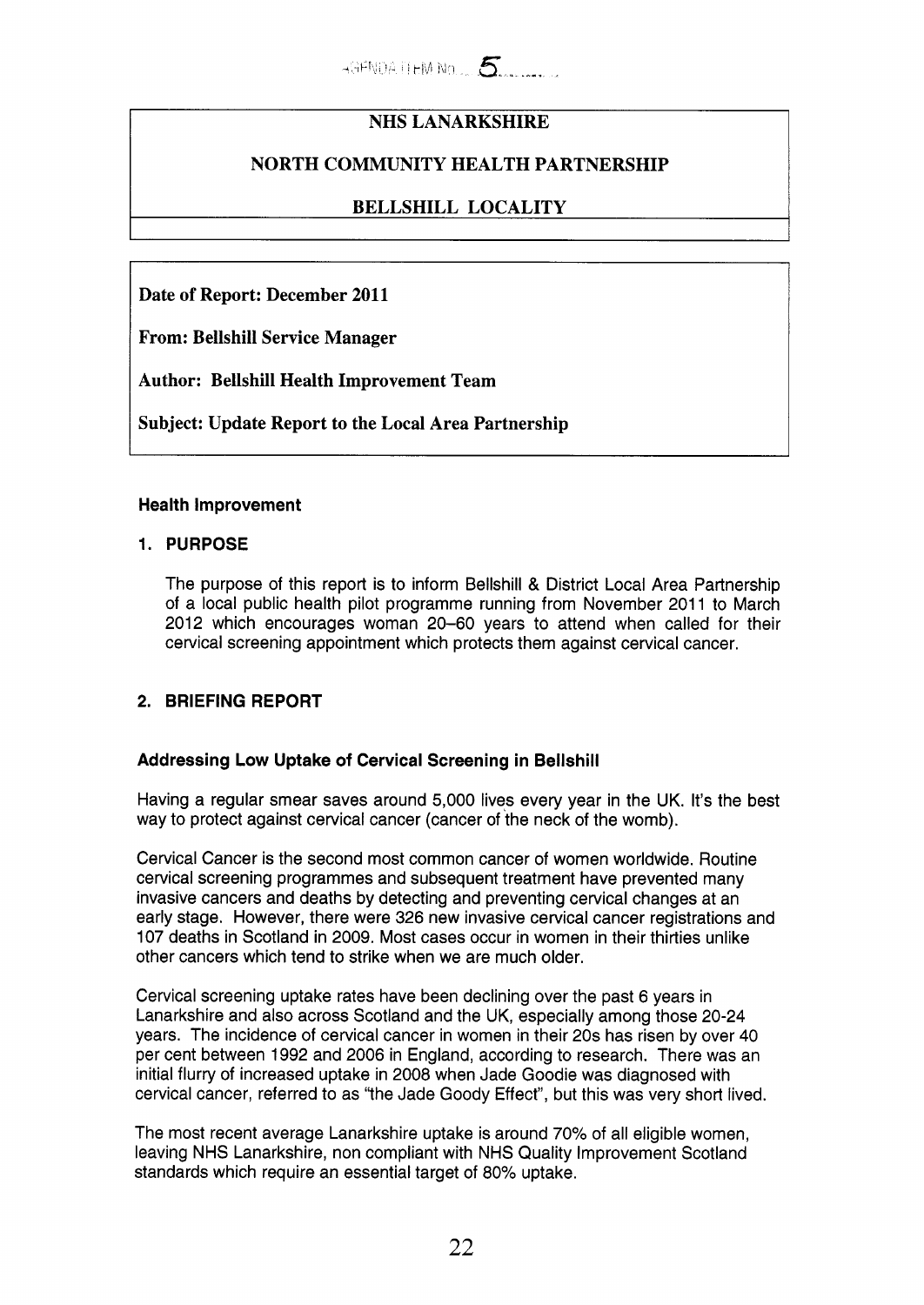# **NHS LANARKSHIRE**

# **NORTH COMMUNITY HEALTH PARTNERSHIP**

## **BELLSHILL LOCALITY**

**Date of Report: December 2011** 

**From: Bellshill Service Manager** 

**Author: Bellshill Health Improvement Team** 

**Subject: Update Report to the Local Area Partnership** 

## **Health Improvement**

## **1. PURPOSE**

The purpose of this report is to inform Bellshill & District Local Area Partnership of a local public health pilot programme running from November 2011 to March 2012 which encourages woman 20-60 years to attend when called for their cervical screening appointment which protects them against cervical cancer.

## **2. BRIEFING REPORT**

## **Addressing Low Uptake of Cervical Screening in Bellshill**

Having a regular smear saves around 5,000 lives every year in the UK. It's the best way to protect against cervical cancer (cancer of the neck of the womb).

Cervical Cancer is the second most common cancer of women worldwide. Routine cervical screening programmes and subsequent treatment have prevented many invasive cancers and deaths by detecting and preventing cervical changes at an early stage. However, there were 326 new invasive cervical cancer registrations and 107 deaths in Scotland in 2009. Most cases occur in women in their thirties unlike other cancers which tend to strike when we are much older.

Cervical screening uptake rates have been declining over the past 6 years in Lanarkshire and also across Scotland and the UK, especially among those 20-24 years. The incidence of cervical cancer in women in their 20s has risen by over 40 per cent between 1992 and 2006 in England, according to research. There was an initial flurry of increased uptake in 2008 when Jade Goodie was diagnosed with cervical cancer, referred to as "the Jade Goody Effect", but this was very short lived.

The most recent average Lanarkshire uptake is around 70% of all eligible women, leaving NHS Lanarkshire, non compliant with NHS Quality Improvement Scotland standards which require an essential target of 80% uptake.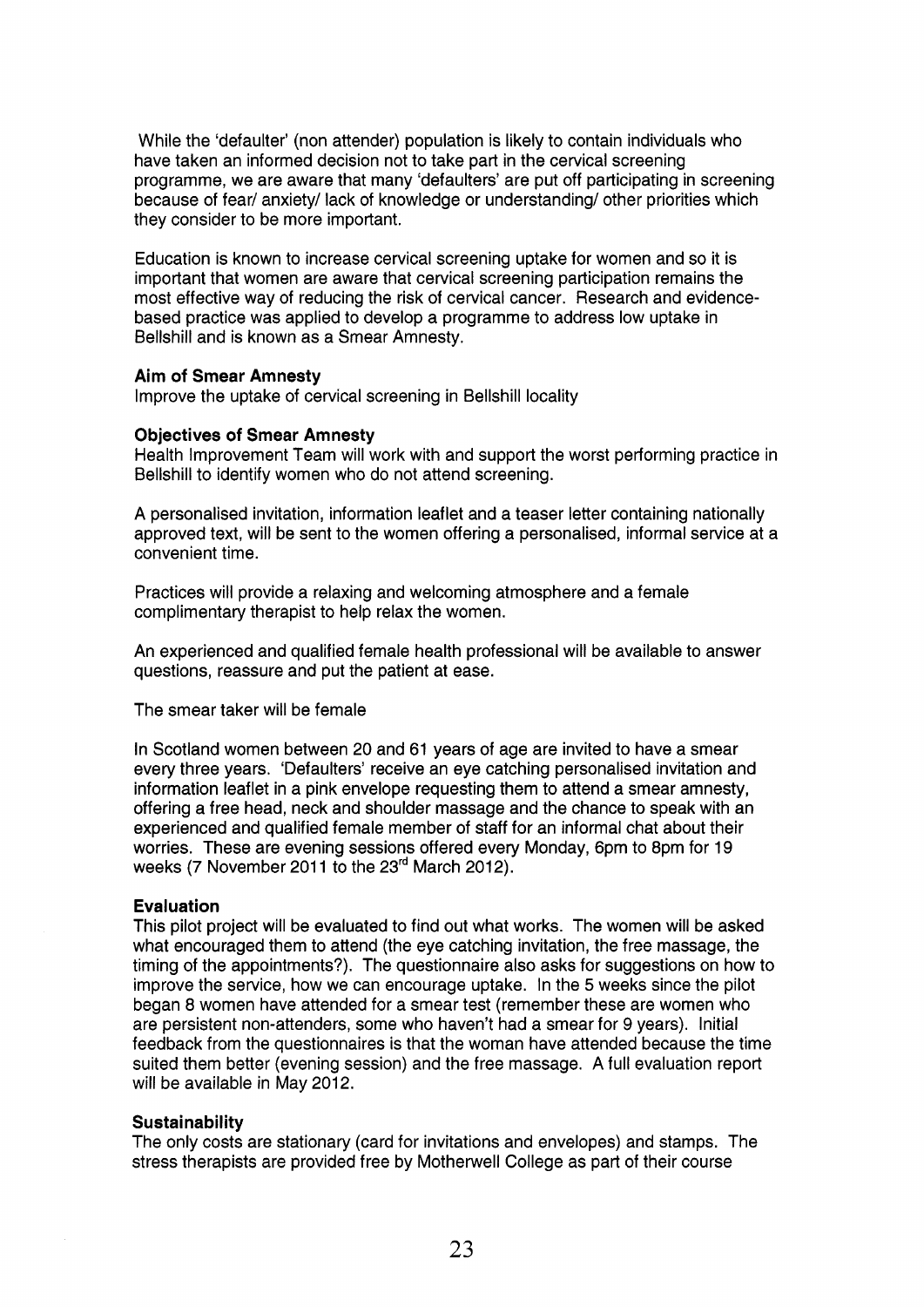While the 'defaulter' (non attender) population is likely to contain individuals who have taken an informed decision not to take part in the cervical screening programme, we are aware that many 'defaulters' are put off participating in screening because of fear/ anxiety/ lack of knowledge or understanding/ other priorities which they consider to be more important.

Education is known to increase cervical screening uptake for women and so it is important that women are aware that cervical screening participation remains the most effective way of reducing the risk of cervical cancer. Research and evidencebased practice was applied to develop a programme to address low uptake in Bellshill and is known as a Smear Amnesty.

#### **Aim of Smear Amnesty**

Improve the uptake of cervical screening in Bellshill locality

#### **Objectives of Smear Amnesty**

Health Improvement Team will work with and support the worst performing practice in Bellshill to identify women who do not attend screening.

A personalised invitation, information leaflet and a teaser letter containing nationally approved text, will be sent to the women offering a personalised, informal service at a convenient time.

Practices will provide a relaxing and welcoming atmosphere and a female complimentary therapist to help relax the women.

An experienced and qualified female health professional will be available to answer questions, reassure and put the patient at ease.

The smear taker will be female

In Scotland women between 20 and 61 years of age are invited to have a smear every three years. 'Defaulters' receive an eye catching personalised invitation and information leaflet in a pink envelope requesting them to attend a smear amnesty, offering a free head, neck and shoulder massage and the chance to speak with an experienced and qualified female member of staff for an informal chat about their worries. These are evening sessions offered every Monday, 6pm to 8pm for 19 weeks (7 November 2011 to the 23rd March 2012).

#### **Evaluation**

This pilot project will be evaluated to find out what works. The women will be asked what encouraged them to attend (the eye catching invitation, the free massage, the timing of the appointments?). The questionnaire also asks for suggestions on how to improve the service, how we can encourage uptake. In the 5 weeks since the pilot began 8 women have attended for a smear test (remember these are women who are persistent non-attenders, some who haven't had a smear for 9 years). Initial feedback from the questionnaires is that the woman have attended because the time suited them better (evening session) and the free massage. A full evaluation report will be available in May 2012.

#### **Sustainability**

The only costs are stationary (card for invitations and envelopes) and stamps. The stress therapists are provided free by Motherwell College as part of their course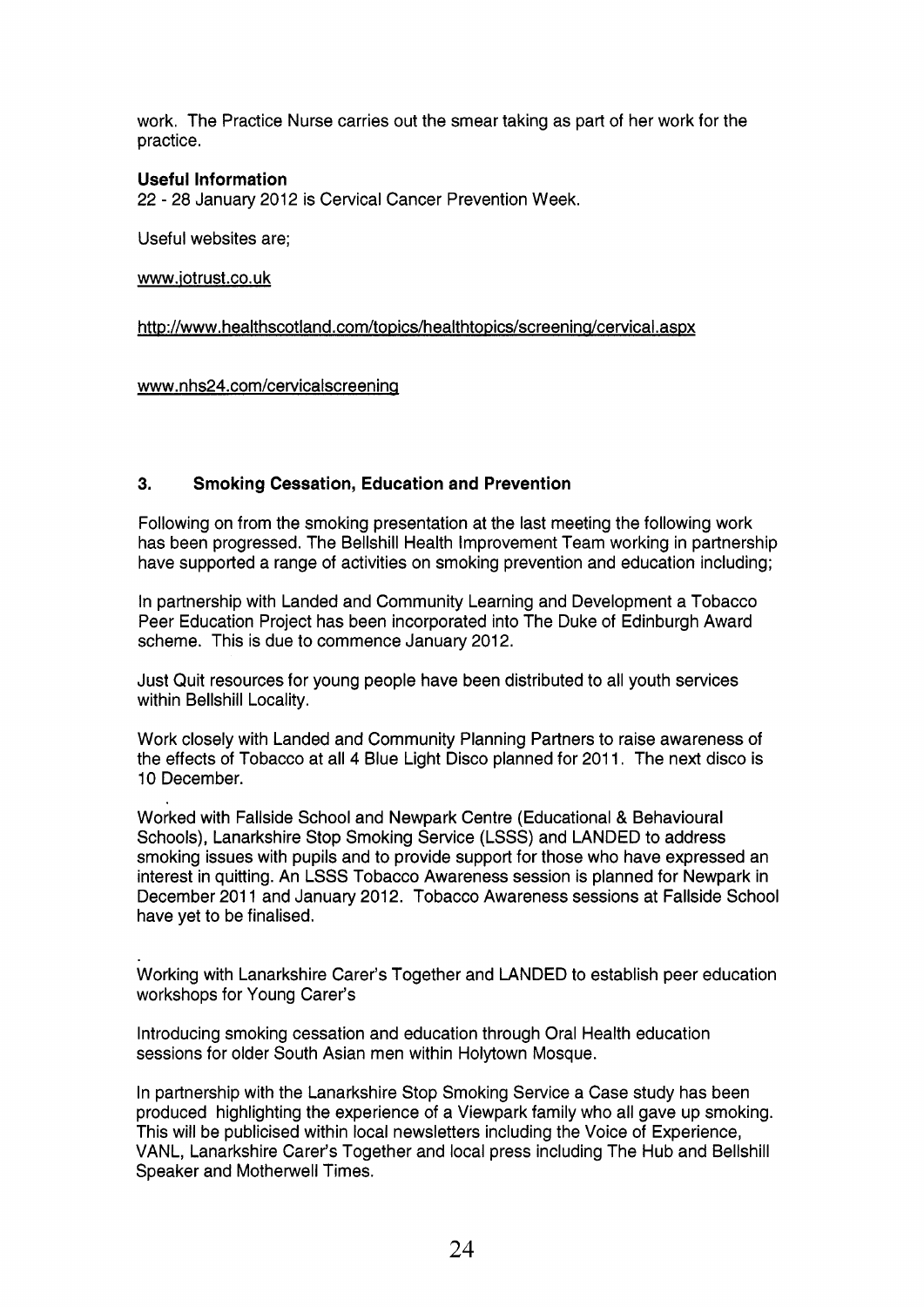work. The Practice Nurse carries out the smear taking as part of her work for the practice.

## **Useful Information**

22 - 28 January 2012 is Cervical Cancer Prevention Week.

Useful websites are;

[www.iotrust.co.uk](http://www.iotrust.co.uk)

http://www.healthscotland.com/topics/healthtopics/screening/cervical.aspx

www.nhs24.com/cervicalscreening

## **3. Smoking Cessation, Education and Prevention**

Following on from the smoking presentation at the last meeting the following work has been progressed. The Bellshill Health Improvement Team working in partnership have supported a range of activities on smoking prevention and education including;

In partnership with Landed and Community Learning and Development a Tobacco Peer Education Project has been incorporated into The Duke of Edinburgh Award scheme. This is due to commence January 2012.

Just Quit resources for young people have been distributed to all youth services within Bellshill Locality.

Work closely with Landed and Community Planning Partners to raise awareness of the effects of Tobacco at all 4 Blue Light Disco planned for 2011. The next disco is 10 December.

Worked with Fallside School and Newpark Centre (Educational & Behavioural Schools), Lanarkshire Stop Smoking Service (LSSS) and LANDED to address smoking issues with pupils and to provide support for those who have expressed an interest in quitting. An LSSS Tobacco Awareness session is planned for Newpark in December 2011 and January 2012. Tobacco Awareness sessions at Fallside School have yet to be finalised.

Working with Lanarkshire Carer's Together and LANDED to establish peer education workshops for Young Carer's

Introducing smoking cessation and education through Oral Health education sessions for older South Asian men within Holytown Mosque.

In partnership with the Lanarkshire Stop Smoking Service a Case study has been produced highlighting the experience of a Viewpark family who all gave up smoking. This will be publicised within local newsletters including the Voice of Experience, VANL, Lanarkshire Carer's Together and local press including The Hub and Bellshill Speaker and Motherwell Times.